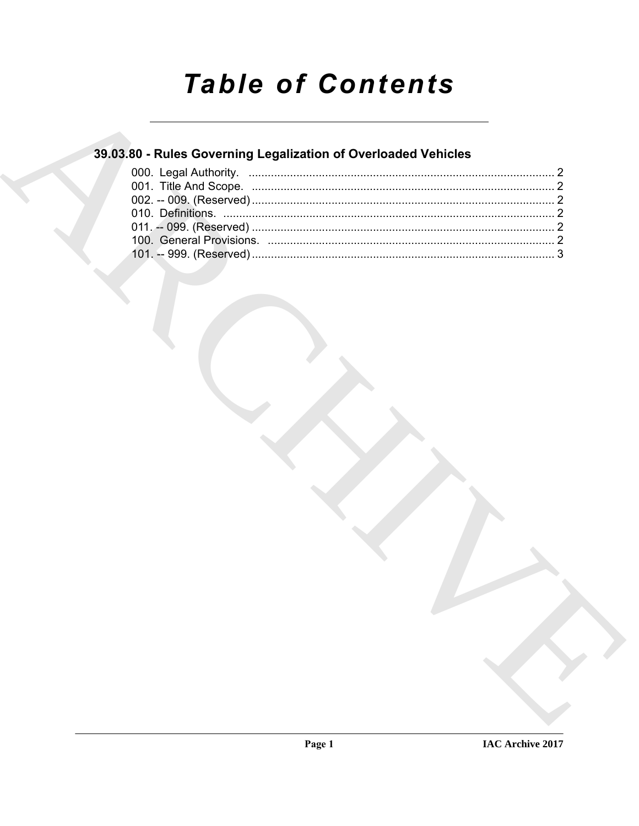# **Table of Contents**

## 39.03.80 - Rules Governing Legalization of Overloaded Vehicles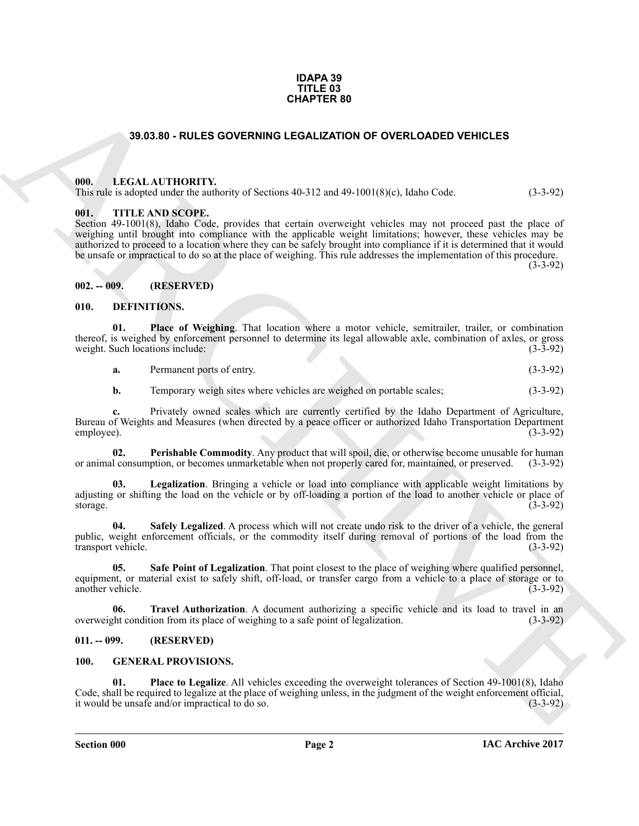#### **IDAPA 39 TITLE 03 CHAPTER 80**

#### **39.03.80 - RULES GOVERNING LEGALIZATION OF OVERLOADED VEHICLES**

#### <span id="page-1-1"></span><span id="page-1-0"></span>**000. LEGAL AUTHORITY.**

This rule is adopted under the authority of Sections 40-312 and 49-1001(8)(c), Idaho Code. (3-3-92)

#### <span id="page-1-2"></span>**001. TITLE AND SCOPE.**

**39.03.39 - RULES GOVERNING LEGALIZATION OF OVERLOADED VEHICLES<br>
19.03.39 - RULES GOVERNING LEGALIZATION OF OVERLOADED VEHICLES<br>
19.1. LEGAL AUTHORITY with or School and Figure 19.1 and Figure 10.1 (School Cole).<br>
19.2. T** Section 49-1001(8), Idaho Code, provides that certain overweight vehicles may not proceed past the place of weighing until brought into compliance with the applicable weight limitations; however, these vehicles may be authorized to proceed to a location where they can be safely brought into compliance if it is determined that it would be unsafe or impractical to do so at the place of weighing. This rule addresses the implementation of this procedure.

(3-3-92)

#### <span id="page-1-3"></span>**002. -- 009. (RESERVED)**

#### <span id="page-1-7"></span><span id="page-1-4"></span>**010. DEFINITIONS.**

**01. Place of Weighing**. That location where a motor vehicle, semitrailer, trailer, or combination thereof, is weighed by enforcement personnel to determine its legal allowable axle, combination of axles, or gross weight. Such locations include:

<span id="page-1-10"></span>

| а. | Permanent ports of entry. |  | $(3-3-92)$ |
|----|---------------------------|--|------------|
|----|---------------------------|--|------------|

<span id="page-1-9"></span>**b.** Temporary weigh sites where vehicles are weighed on portable scales; (3-3-92)

**c.** Privately owned scales which are currently certified by the Idaho Department of Agriculture, Bureau of Weights and Measures (when directed by a peace officer or authorized Idaho Transportation Department employee). (3-3-92)

**02.** Perishable Commodity. Any product that will spoil, die, or otherwise become unusable for human I consumption, or becomes unmarketable when not properly cared for, maintained, or preserved. (3-3-92) or animal consumption, or becomes unmarketable when not properly cared for, maintained, or preserved.

<span id="page-1-8"></span>**03. Legalization**. Bringing a vehicle or load into compliance with applicable weight limitations by adjusting or shifting the load on the vehicle or by off-loading a portion of the load to another vehicle or place of storage. (3-3-92) storage. (3-3-92)

<span id="page-1-12"></span>**Safely Legalized**. A process which will not create undo risk to the driver of a vehicle, the general public, weight enforcement officials, or the commodity itself during removal of portions of the load from the transport vehicle. (3-3-92)

<span id="page-1-11"></span>**05. Safe Point of Legalization**. That point closest to the place of weighing where qualified personnel, equipment, or material exist to safely shift, off-load, or transfer cargo from a vehicle to a place of storage or to another vehicle. (3-3-92)

<span id="page-1-13"></span>**06. Travel Authorization**. A document authorizing a specific vehicle and its load to travel in an the condition from its place of weighing to a safe point of legalization. (3-3-92) overweight condition from its place of weighing to a safe point of legalization.

#### <span id="page-1-5"></span>**011. -- 099. (RESERVED)**

#### <span id="page-1-15"></span><span id="page-1-14"></span><span id="page-1-6"></span>**100. GENERAL PROVISIONS.**

**Place to Legalize**. All vehicles exceeding the overweight tolerances of Section 49-1001(8), Idaho Code, shall be required to legalize at the place of weighing unless, in the judgment of the weight enforcement official, it would be unsafe and/or impractical to do so. (3-3-92)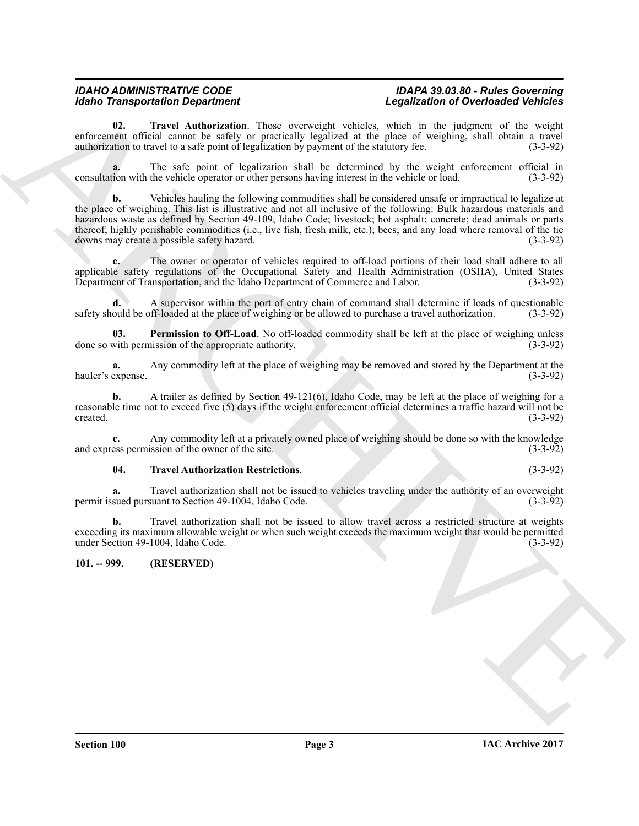#### *IDAHO ADMINISTRATIVE CODE IDAPA 39.03.80 - Rules Governing* **Legalization of Overloaded Vehicles**

<span id="page-2-2"></span>**02. Travel Authorization**. Those overweight vehicles, which in the judgment of the weight enforcement official cannot be safely or practically legalized at the place of weighing, shall obtain a travel authorization to travel to a safe point of legalization by payment of the statutory fee. (3-3-92)

**a.** The safe point of legalization shall be determined by the weight enforcement official in consultation with the vehicle operator or other persons having interest in the vehicle or load. (3-3-92)

Model Transportation Department of the state of the state of the state of the state of the state of the state of the state of the state of the state of the state of the state of the state of the state of the state of the **b.** Vehicles hauling the following commodities shall be considered unsafe or impractical to legalize at the place of weighing. This list is illustrative and not all inclusive of the following: Bulk hazardous materials and hazardous waste as defined by Section 49-109, Idaho Code; livestock; hot asphalt; concrete; dead animals or parts thereof; highly perishable commodities (i.e., live fish, fresh milk, etc.); bees; and any load where removal of the tie downs may create a possible safety hazard. (3-3-92)

**c.** The owner or operator of vehicles required to off-load portions of their load shall adhere to all applicable safety regulations of the Occupational Safety and Health Administration (OSHA), United States Department of Transportation, and the Idaho Department of Commerce and Labor. (3-3-92)

**d.** A supervisor within the port of entry chain of command shall determine if loads of questionable safety should be off-loaded at the place of weighing or be allowed to purchase a travel authorization. (3-3-92)

<span id="page-2-1"></span>**03. Permission to Off-Load**. No off-loaded commodity shall be left at the place of weighing unless with permission of the appropriate authority. done so with permission of the appropriate authority.

**a.** Any commodity left at the place of weighing may be removed and stored by the Department at the hauler's expense. (3-3-92)

**b.** A trailer as defined by Section 49-121(6), Idaho Code, may be left at the place of weighing for a reasonable time not to exceed five (5) days if the weight enforcement official determines a traffic hazard will not be created. (3-3-92) created.  $(3-3-92)$ 

**c.** Any commodity left at a privately owned place of weighing should be done so with the knowledge ess permission of the owner of the site. (3-3-92) and express permission of the owner of the site.

#### <span id="page-2-3"></span>**04. Travel Authorization Restrictions**. (3-3-92)

**a.** Travel authorization shall not be issued to vehicles traveling under the authority of an overweight sued pursuant to Section 49-1004. Idaho Code. (3-3-92) permit issued pursuant to Section 49-1004, Idaho Code.

**b.** Travel authorization shall not be issued to allow travel across a restricted structure at weights exceeding its maximum allowable weight or when such weight exceeds the maximum weight that would be permitted under Section 49-1004, Idaho Code. (3-3-92) under Section 49-1004, Idaho Code.

#### <span id="page-2-0"></span>**101. -- 999. (RESERVED)**